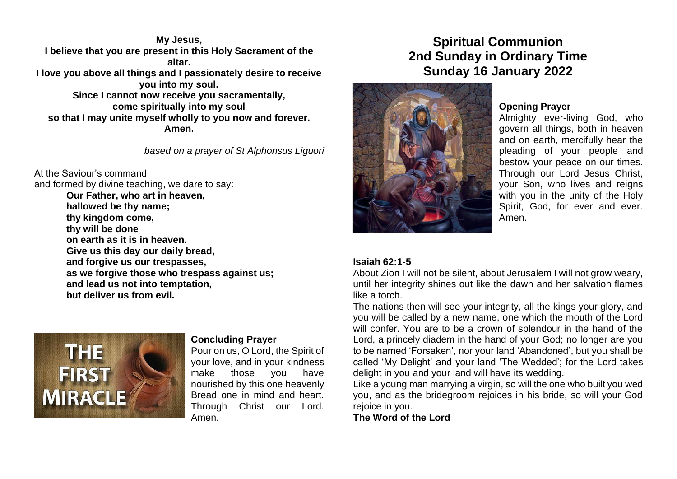**My Jesus, I believe that you are present in this Holy Sacrament of the altar. I love you above all things and I passionately desire to receive you into my soul. Since I cannot now receive you sacramentally, come spiritually into my soul so that I may unite myself wholly to you now and forever. Amen.**

*based on a prayer of St Alphonsus Liguori*

At the Saviour's command and formed by divine teaching, we dare to say: **Our Father, who art in heaven, hallowed be thy name; thy kingdom come, thy will be done on earth as it is in heaven. Give us this day our daily bread, and forgive us our trespasses, as we forgive those who trespass against us; and lead us not into temptation, but deliver us from evil.**



#### **Concluding Prayer**

Pour on us, O Lord, the Spirit of your love, and in your kindness make those you have nourished by this one heavenly Bread one in mind and heart. Through Christ our Lord. Amen.

# **Spiritual Communion 2nd Sunday in Ordinary Time Sunday 16 January 2022**



# **Opening Prayer**

Almighty ever-living God, who govern all things, both in heaven and on earth, mercifully hear the pleading of your people and bestow your peace on our times. Through our Lord Jesus Christ, your Son, who lives and reigns with you in the unity of the Holy Spirit, God, for ever and ever. Amen.

#### **Isaiah 62:1-5**

About Zion I will not be silent, about Jerusalem I will not grow weary, until her integrity shines out like the dawn and her salvation flames like a torch.

The nations then will see your integrity, all the kings your glory, and you will be called by a new name, one which the mouth of the Lord will confer. You are to be a crown of splendour in the hand of the Lord, a princely diadem in the hand of your God; no longer are you to be named 'Forsaken', nor your land 'Abandoned', but you shall be called 'My Delight' and your land 'The Wedded'; for the Lord takes delight in you and your land will have its wedding.

Like a young man marrying a virgin, so will the one who built you wed you, and as the bridegroom rejoices in his bride, so will your God rejoice in you.

**The Word of the Lord**